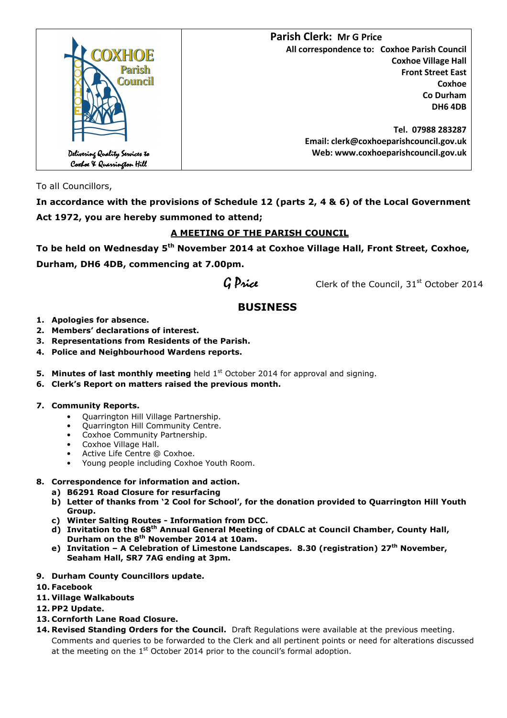

To all Councillors,

**In accordance with the provisions of Schedule 12 (parts 2, 4 & 6) of the Local Government Act 1972, you are hereby summoned to attend;** 

## **A MEETING OF THE PARISH COUNCIL**

**To be held on Wednesday 5th November 2014 at Coxhoe Village Hall, Front Street, Coxhoe, Durham, DH6 4DB, commencing at 7.00pm.** 

 $G$  Price Clerk of the Council,  $31<sup>st</sup>$  October 2014

# **BUSINESS**

- **1. Apologies for absence.**
- **2. Members' declarations of interest.**
- **3. Representations from Residents of the Parish.**
- **4. Police and Neighbourhood Wardens reports.**
- **5. Minutes of last monthly meeting** held 1<sup>st</sup> October 2014 for approval and signing.
- **6. Clerk's Report on matters raised the previous month.**

## **7. Community Reports.**

- Quarrington Hill Village Partnership.
- Quarrington Hill Community Centre.
- Coxhoe Community Partnership.
- Coxhoe Village Hall.
- Active Life Centre @ Coxhoe.
- Young people including Coxhoe Youth Room.

## **8. Correspondence for information and action.**

- **a) B6291 Road Closure for resurfacing**
- **b) Letter of thanks from '2 Cool for School', for the donation provided to Quarrington Hill Youth Group.**
- **c) Winter Salting Routes Information from DCC.**
- **d) Invitation to the 68th Annual General Meeting of CDALC at Council Chamber, County Hall, Durham on the 8th November 2014 at 10am.**
- **e) Invitation A Celebration of Limestone Landscapes. 8.30 (registration) 27th November, Seaham Hall, SR7 7AG ending at 3pm.**
- **9. Durham County Councillors update.**
- **10. Facebook**
- **11. Village Walkabouts**
- **12. PP2 Update.**
- **13. Cornforth Lane Road Closure.**
- **14. Revised Standing Orders for the Council.** Draft Regulations were available at the previous meeting. Comments and queries to be forwarded to the Clerk and all pertinent points or need for alterations discussed at the meeting on the  $1<sup>st</sup>$  October 2014 prior to the council's formal adoption.